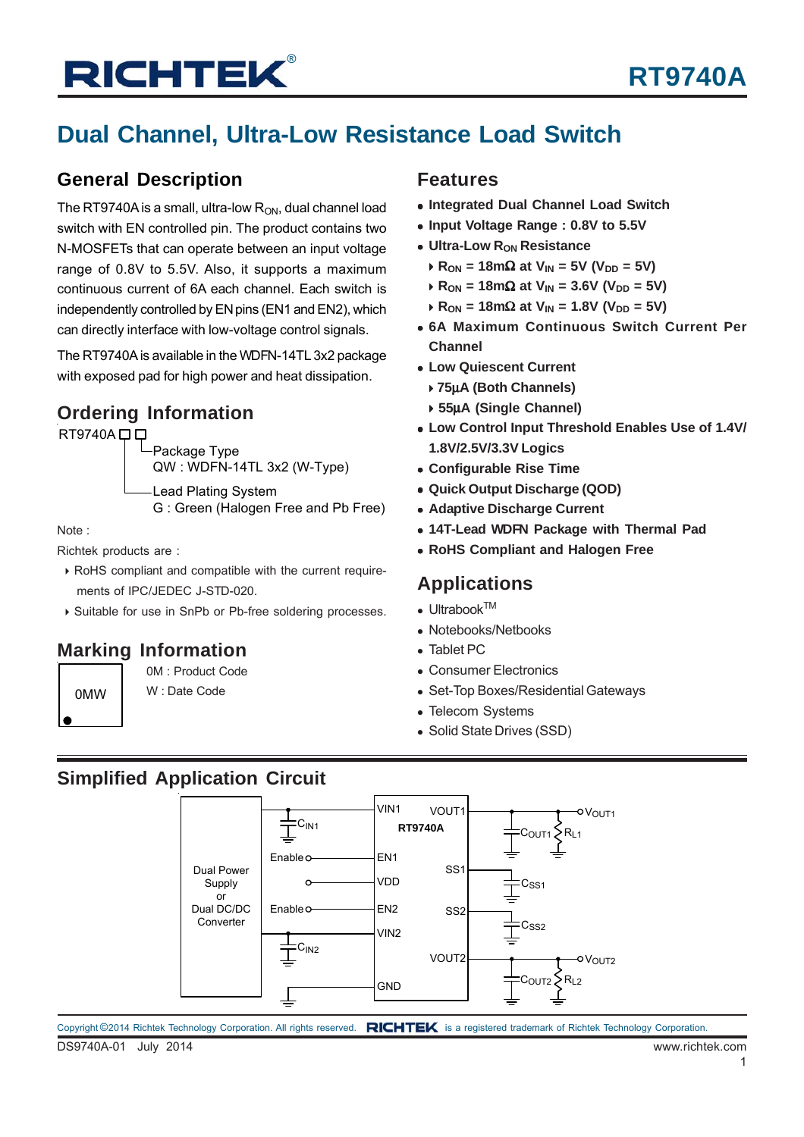# **Dual Channel, Ultra-Low Resistance Load Switch**

#### **General Description**

The RT9740A is a small, ultra-low  $R_{ON}$ , dual channel load switch with EN controlled pin. The product contains two N-MOSFETs that can operate between an input voltage range of 0.8V to 5.5V. Also, it supports a maximum continuous current of 6A each channel. Each switch is independently controlled by EN pins (EN1 and EN2), which can directly interface with low-voltage control signals.

The RT9740A is available in the WDFN-14TL 3x2 package with exposed pad for high power and heat dissipation.

### **Ordering Information**

 $RT9740A \Box \Box$ 

Package Type QW : WDFN-14TL 3x2 (W-Type)

Lead Plating System G : Green (Halogen Free and Pb Free)

Note :

Richtek products are :

- RoHS compliant and compatible with the current require ments of IPC/JEDEC J-STD-020.
- Suitable for use in SnPb or Pb-free soldering processes.

### **Marking Information**

0M : Product Code

#### 0MW | W: Date Code

#### **Features**

- **Integrated Dual Channel Load Switch**
- **Input Voltage Range : 0.8V to 5.5V**
- **Ultra-Low Ron Resistance** 
	- $R_{ON} = 18 \text{m}\Omega$  at  $V_{IN} = 5V$  ( $V_{DD} = 5V$ )
	- $R_{ON}$  = 18mΩ at V<sub>IN</sub> = 3.6V (V<sub>DD</sub> = 5V)
	- $R_{ON}$  = 18mΩ at V<sub>IN</sub> = 1.8V (V<sub>DD</sub> = 5V)
- **6A Maximum Continuous Switch Current Per Channel**
- **Low Quiescent Current**
	- **75**μ**A (Both Channels)**
	- **55**μ**A (Single Channel)**
- **Low Control Input Threshold Enables Use of 1.4V/ 1.8V/2.5V/3.3V Logics**
- **Configurable Rise Time**
- **Quick Output Discharge (QOD)**
- **Adaptive Discharge Current**
- **14T-Lead WDFN Package with Thermal Pad**
- **RoHS Compliant and Halogen Free**

#### **Applications**

- $\bullet$  Ultrabook<sup>TM</sup>
- Notebooks/Netbooks
- Tablet PC
- Consumer Electronics
- Set-Top Boxes/Residential Gateways
- Telecom Systems
- Solid State Drives (SSD)

#### **Simplified Application Circuit**

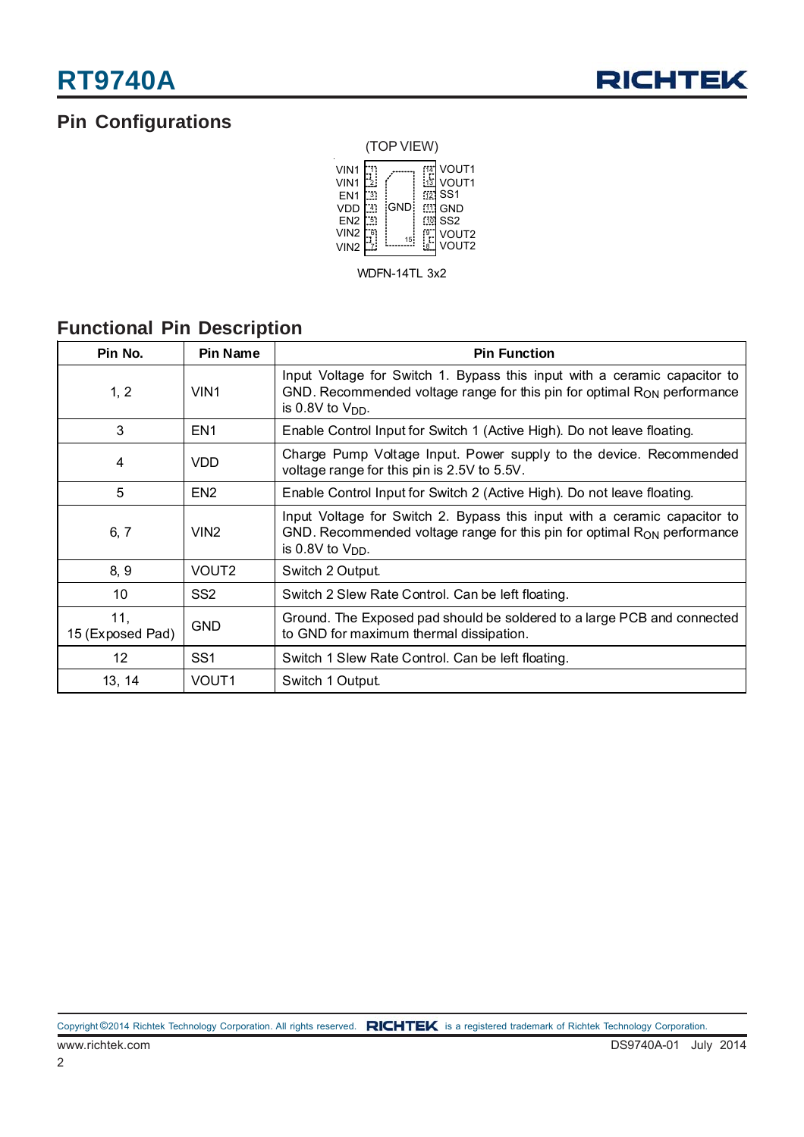### **Pin Configurations**



WDFN-14TL 3x2

### **Functional Pin Description**

| Pin No.                 | <b>Pin Name</b>   | <b>Pin Function</b>                                                                                                                                                                       |
|-------------------------|-------------------|-------------------------------------------------------------------------------------------------------------------------------------------------------------------------------------------|
| 1, 2                    | VIN <sub>1</sub>  | Input Voltage for Switch 1. Bypass this input with a ceramic capacitor to<br>GND. Recommended voltage range for this pin for optimal $R_{ON}$ performance<br>is 0.8V to $V_{DD}$ .        |
| 3                       | EN <sub>1</sub>   | Enable Control Input for Switch 1 (Active High). Do not leave floating.                                                                                                                   |
| 4                       | <b>VDD</b>        | Charge Pump Voltage Input. Power supply to the device. Recommended<br>voltage range for this pin is 2.5V to 5.5V.                                                                         |
| 5                       | EN <sub>2</sub>   | Enable Control Input for Switch 2 (Active High). Do not leave floating.                                                                                                                   |
| 6, 7                    | VIN <sub>2</sub>  | Input Voltage for Switch 2. Bypass this input with a ceramic capacitor to<br>GND. Recommended voltage range for this pin for optimal R <sub>ON</sub> performance<br>is 0.8V to $V_{DD}$ . |
| 8, 9                    | VOUT <sub>2</sub> | Switch 2 Output.                                                                                                                                                                          |
| 10                      | SS <sub>2</sub>   | Switch 2 Slew Rate Control. Can be left floating.                                                                                                                                         |
| 11,<br>15 (Exposed Pad) | <b>GND</b>        | Ground. The Exposed pad should be soldered to a large PCB and connected<br>to GND for maximum thermal dissipation.                                                                        |
| 12                      | SS <sub>1</sub>   | Switch 1 Slew Rate Control. Can be left floating.                                                                                                                                         |
| 13, 14                  | VOUT <sub>1</sub> | Switch 1 Output.                                                                                                                                                                          |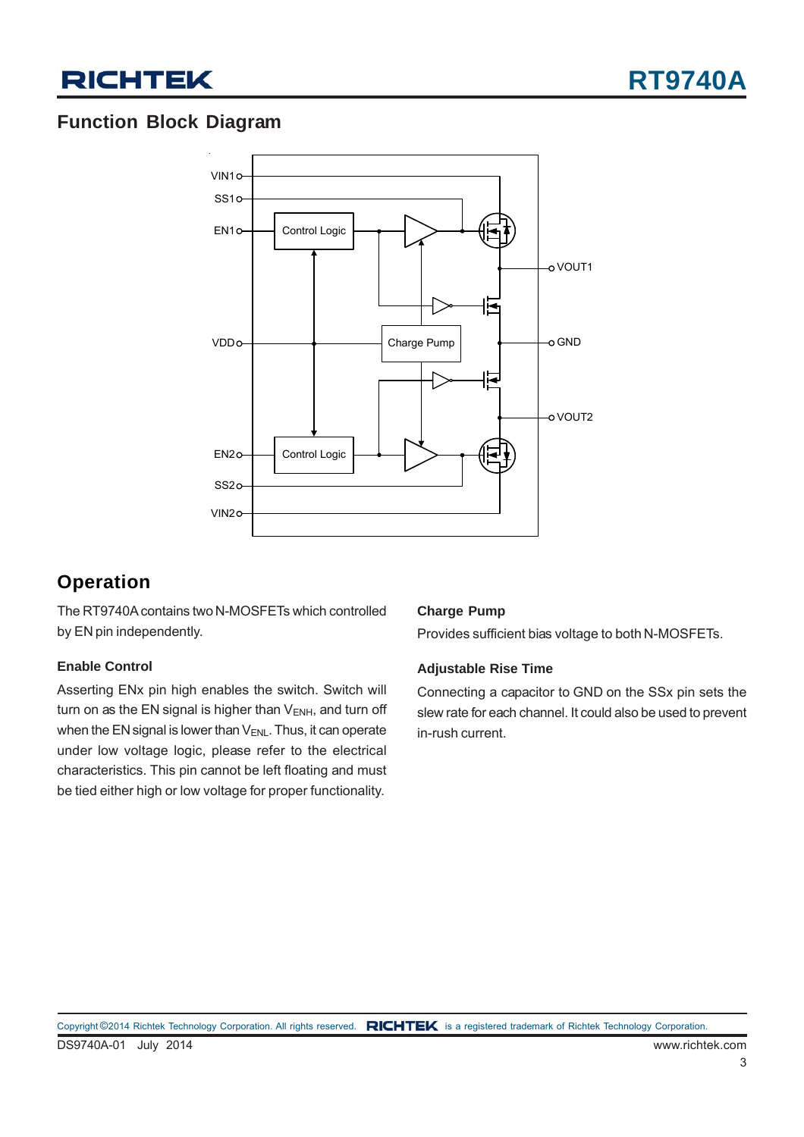

### **Function Block Diagram**



### **Operation**

The RT9740A contains two N-MOSFETs which controlled by EN pin independently.

#### **Enable Control**

Asserting ENx pin high enables the switch. Switch will turn on as the EN signal is higher than  $V_{ENH}$ , and turn off when the EN signal is lower than  $V_{ENL}$ . Thus, it can operate under low voltage logic, please refer to the electrical characteristics. This pin cannot be left floating and must be tied either high or low voltage for proper functionality.

#### **Charge Pump**

Provides sufficient bias voltage to both N-MOSFETs.

#### **Adjustable Rise Time**

Connecting a capacitor to GND on the SSx pin sets the slew rate for each channel. It could also be used to prevent in-rush current.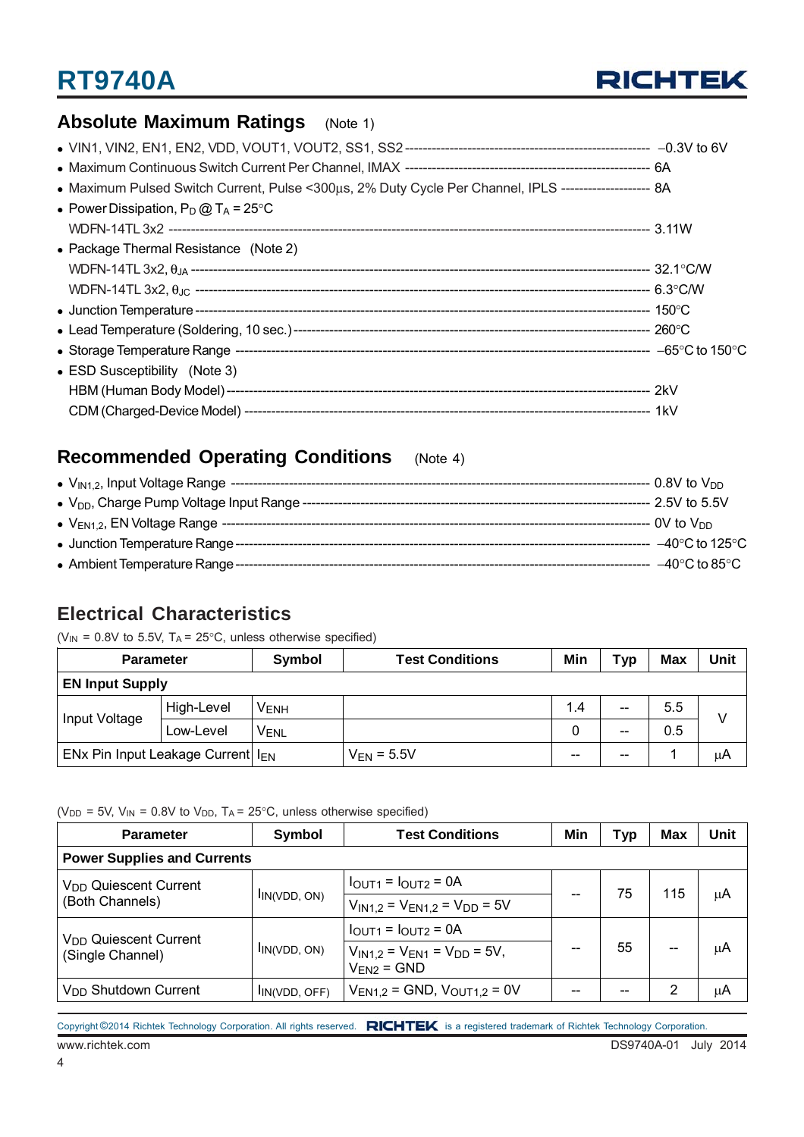

### **Absolute Maximum Ratings** (Note 1)

| • Maximum Pulsed Switch Current, Pulse <300µs, 2% Duty Cycle Per Channel, IPLS ---------------------- 8A |  |
|----------------------------------------------------------------------------------------------------------|--|
| • Power Dissipation, $P_D @ T_A = 25^{\circ}C$                                                           |  |
|                                                                                                          |  |
| • Package Thermal Resistance (Note 2)                                                                    |  |
|                                                                                                          |  |
|                                                                                                          |  |
|                                                                                                          |  |
|                                                                                                          |  |
|                                                                                                          |  |
| • ESD Susceptibility (Note 3)                                                                            |  |
|                                                                                                          |  |
|                                                                                                          |  |

### **Recommended Operating Conditions** (Note 4)

|                                                 | --- 0.8V to V <sub>י</sub> ח        |
|-------------------------------------------------|-------------------------------------|
| • $V_{DD}$ , Charge Pump Voltage Input Range -- | - 2.5V to 5.5V                      |
|                                                 | -- 0V to Vnn                        |
| • Junction Temperature Range -                  | $-40^{\circ}$ C to 125 $^{\circ}$ C |
| • Ambient Temperature Range -                   | $-40^{\circ}$ C to 85 $^{\circ}$ C  |

#### **Electrical Characteristics**

( $V_{IN}$  = 0.8V to 5.5V, T<sub>A</sub> = 25°C, unless otherwise specified)

| <b>Parameter</b>                              |            | Symbol           | <b>Test Conditions</b> | Min   | Typ               | <b>Max</b> | Unit |
|-----------------------------------------------|------------|------------------|------------------------|-------|-------------------|------------|------|
| <b>EN Input Supply</b>                        |            |                  |                        |       |                   |            |      |
| Input Voltage                                 | High-Level | V <sub>ENH</sub> |                        | 1.4   | $\hspace{0.05cm}$ | 5.5        |      |
|                                               | Low-Level  | <b>VENL</b>      |                        |       | $- -$             | 0.5        |      |
| ENx Pin Input Leakage Current I <sub>EN</sub> |            |                  | $V_{EN}$ = 5.5V        | $- -$ | $- -$             |            | μA   |

( $V_{DD}$  = 5V,  $V_{IN}$  = 0.8V to  $V_{DD}$ , T<sub>A</sub> = 25°C, unless otherwise specified)

| <b>Parameter</b>                   | Symbol            | <b>Test Conditions</b>                                   | Min | Тур | Max   | <b>Unit</b> |  |  |
|------------------------------------|-------------------|----------------------------------------------------------|-----|-----|-------|-------------|--|--|
| <b>Power Supplies and Currents</b> |                   |                                                          |     |     |       |             |  |  |
| V <sub>DD</sub> Quiescent Current  |                   | $IOUT1 = IOUT2 = 0A$                                     |     | 75  | 115   |             |  |  |
| (Both Channels)                    | IIN(VDD, ON)      | $V_{IN1.2}$ = $V_{EN1.2}$ = $V_{DD}$ = 5V                |     |     |       | μA          |  |  |
| V <sub>DD</sub> Quiescent Current  | $I_{IN(VDD, ON)}$ | $IOUT1 = IOUT2 = 0A$                                     |     | 55  | $- -$ | μA          |  |  |
| (Single Channel)                   |                   | $V_{IN1,2} = V_{EN1} = V_{DD} = 5V$ ,<br>$V_{EN2}$ = GND |     |     |       |             |  |  |
| V <sub>DD</sub> Shutdown Current   | IIN(VDD, OFF)     | $V_{EN1.2}$ = GND, $V_{OUT1.2}$ = 0V                     | --  | --  | 2     | μA          |  |  |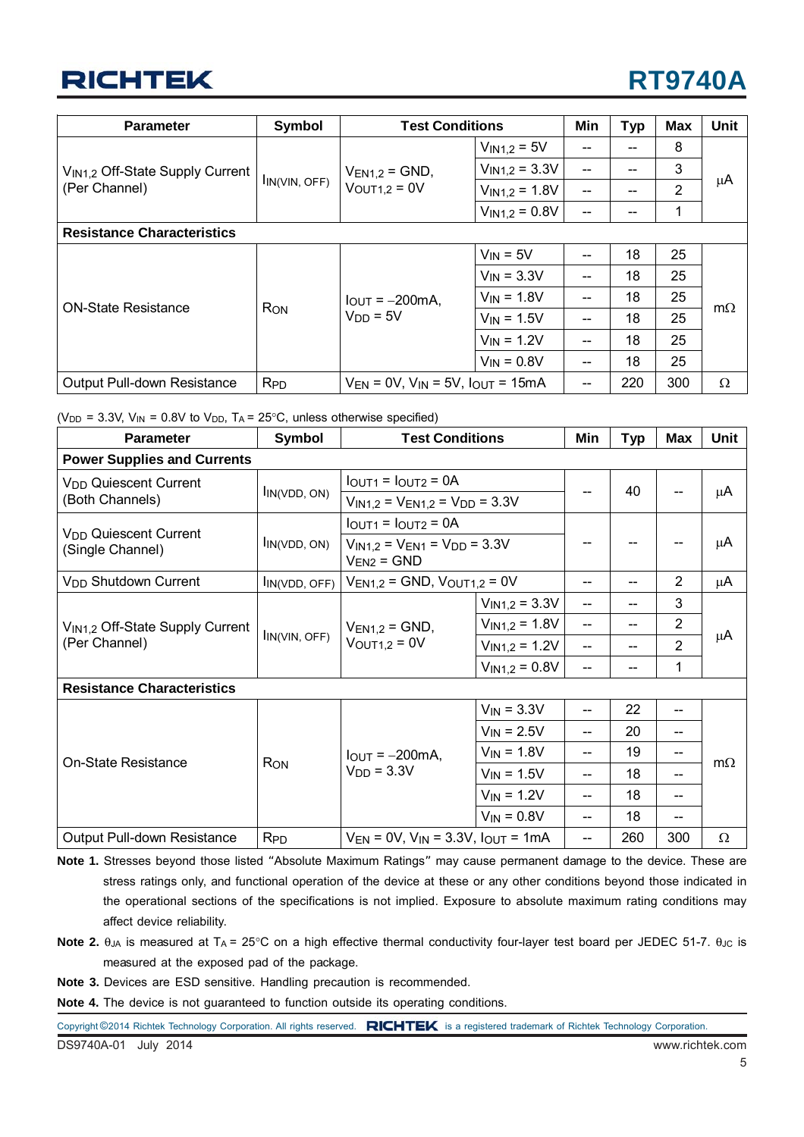# **RT9740A**

| <b>Parameter</b>                            | Symbol                | <b>Test Conditions</b>                               |                    | Min                      | <b>Typ</b> | <b>Max</b> | <b>Unit</b> |
|---------------------------------------------|-----------------------|------------------------------------------------------|--------------------|--------------------------|------------|------------|-------------|
|                                             |                       |                                                      | $V_{IN1,2} = 5V$   | --                       | $- -$      | 8          |             |
| V <sub>IN1,2</sub> Off-State Supply Current |                       | $V_{EN1,2}$ = GND,                                   | $V_{IN1,2} = 3.3V$ | --                       |            | 3          |             |
| (Per Channel)                               | $I_{IN(VIN, OFF)}$    | $VOUT1,2 = 0V$                                       | $V_{IN1,2} = 1.8V$ | $\overline{\phantom{a}}$ |            | 2          | μA          |
|                                             |                       |                                                      | $V_{IN1,2} = 0.8V$ | $-$                      | --         | 1          |             |
| <b>Resistance Characteristics</b>           |                       |                                                      |                    |                          |            |            |             |
|                                             | <b>Ron</b>            | $I_{\text{OUT}} = -200 \text{mA}$ ,<br>$V_{DD} = 5V$ | $V_{IN} = 5V$      | --                       | 18         | 25         |             |
|                                             |                       |                                                      | $V_{IN}$ = 3.3V    | --                       | 18         | 25         |             |
| <b>ON-State Resistance</b>                  |                       |                                                      | $V_{IN}$ = 1.8V    | $-$                      | 18         | 25         |             |
|                                             |                       |                                                      | $V_{IN}$ = 1.5V    | $-$                      | 18         | 25         | $m\Omega$   |
|                                             |                       |                                                      | $V_{IN}$ = 1.2V    | --                       | 18         | 25         |             |
|                                             |                       |                                                      | $V_{IN} = 0.8V$    | $-$                      | 18         | 25         |             |
| Output Pull-down Resistance                 | <b>R<sub>PD</sub></b> | $V_{EN}$ = 0V, $V_{IN}$ = 5V, $I_{OUT}$ = 15mA       |                    | --                       | 220        | 300        | Ω           |

|  |  |  |  | ( $V_{DD}$ = 3.3V, $V_{IN}$ = 0.8V to $V_{DD}$ , T <sub>A</sub> = 25°C, unless otherwise specified) |  |
|--|--|--|--|-----------------------------------------------------------------------------------------------------|--|
|  |  |  |  |                                                                                                     |  |

| <b>Parameter</b>                            | Symbol                        | <b>Test Conditions</b>                                   |                    | Min | <b>Typ</b> | <b>Max</b>     | <b>Unit</b> |  |  |
|---------------------------------------------|-------------------------------|----------------------------------------------------------|--------------------|-----|------------|----------------|-------------|--|--|
| <b>Power Supplies and Currents</b>          |                               |                                                          |                    |     |            |                |             |  |  |
| V <sub>DD</sub> Quiescent Current           |                               | $IOUT1 = IOUT2 = 0A$                                     |                    | 40  |            |                |             |  |  |
| (Both Channels)                             | $I_{IN(VDD, ON)}$             | $V_{IN1,2} = V_{EN1,2} = V_{DD} = 3.3V$                  |                    |     |            |                | μA          |  |  |
| V <sub>DD</sub> Quiescent Current           |                               | $IOUT1 = IOUT2 = 0A$                                     |                    |     |            |                |             |  |  |
| (Single Channel)                            | $I_{IN(VDD, ON)}$             | $V_{IN1,2} = V_{EN1} = V_{DD} = 3.3V$<br>$V_{EN2}$ = GND |                    |     |            |                | μA          |  |  |
| V <sub>DD</sub> Shutdown Current            | IIN(VDD, OFF)                 | $V_{EN1,2} = GND$ , $V_{OUT1,2} = 0V$                    |                    | --  |            | $\overline{2}$ | μA          |  |  |
| V <sub>IN1,2</sub> Off-State Supply Current | $\ln(\text{VIN}, \text{OFF})$ | $V_{EN1,2} = GND$ ,<br>$VOUT1,2 = 0V$                    | $V_{IN1,2} = 3.3V$ | $-$ |            | 3              | μA          |  |  |
|                                             |                               |                                                          | $V_{IN1,2} = 1.8V$ | $-$ |            | $\overline{2}$ |             |  |  |
| (Per Channel)                               |                               |                                                          | $V_{IN1,2} = 1.2V$ | $-$ | --         | 2              |             |  |  |
|                                             |                               |                                                          | $V_{IN1,2} = 0.8V$ | $-$ | $-$        | 1              |             |  |  |
| <b>Resistance Characteristics</b>           |                               |                                                          |                    |     |            |                |             |  |  |
|                                             |                               |                                                          | $V_{IN}$ = 3.3V    |     | 22         | --             | $m\Omega$   |  |  |
|                                             |                               |                                                          | $V_{IN} = 2.5V$    | --  | 20         | --             |             |  |  |
| On-State Resistance                         |                               | $I_{\text{OUT}} = -200 \text{mA}$ ,                      | $V_{IN} = 1.8V$    | --  | 19         | --             |             |  |  |
|                                             | <b>RON</b>                    | $VDD = 3.3V$                                             | $V_{IN} = 1.5V$    | $-$ | 18         | --             |             |  |  |
|                                             |                               |                                                          | $V_{IN} = 1.2V$    | --  | 18         | --             |             |  |  |
|                                             |                               |                                                          | $V_{IN} = 0.8V$    | --  | 18         | --             |             |  |  |
| Output Pull-down Resistance                 | <b>R<sub>PD</sub></b>         | $V_{EN}$ = 0V, $V_{IN}$ = 3.3V, $I_{OUT}$ = 1mA          |                    | --  | 260        | 300            | $\Omega$    |  |  |

**Note 1.** Stresses beyond those listed "Absolute Maximum Ratings" may cause permanent damage to the device. These are stress ratings only, and functional operation of the device at these or any other conditions beyond those indicated in the operational sections of the specifications is not implied. Exposure to absolute maximum rating conditions may affect device reliability.

- **Note 2.** θ<sub>JA</sub> is measured at T<sub>A</sub> = 25°C on a high effective thermal conductivity four-layer test board per JEDEC 51-7. θ<sub>JC</sub> is measured at the exposed pad of the package.
- **Note 3.** Devices are ESD sensitive. Handling precaution is recommended.

**Note 4.** The device is not guaranteed to function outside its operating conditions.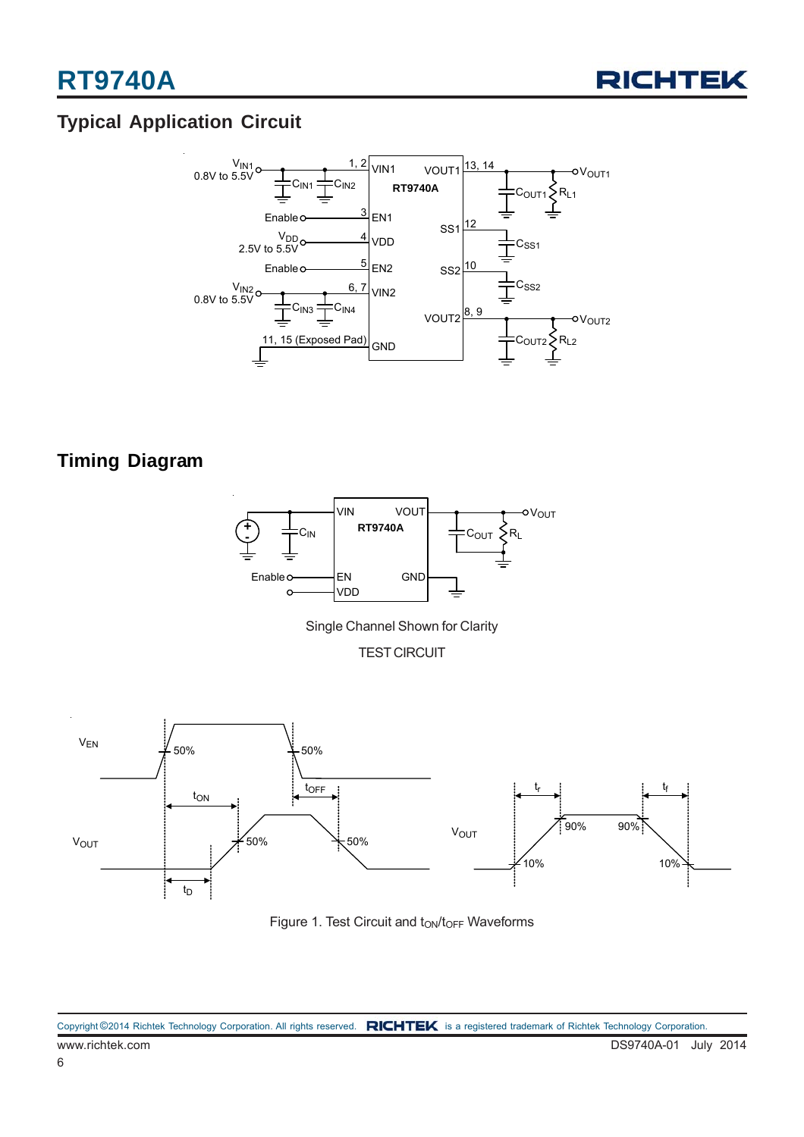

## **Typical Application Circuit**



### **Timing Diagram**



Single Channel Shown for Clarity

TEST CIRCUIT



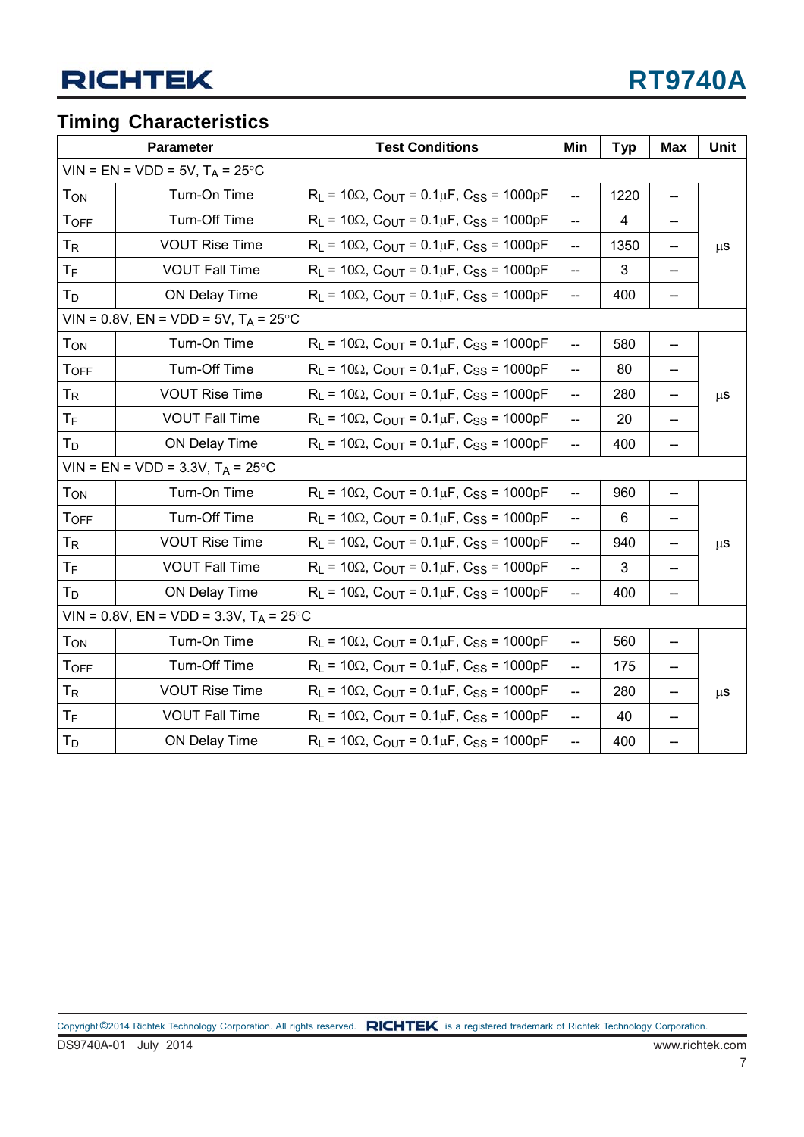### **Timing Characteristics**

|                       | Parameter                                 | <b>Test Conditions</b>                                                         | Min                                 | <b>Typ</b> | <b>Max</b>                    | Unit    |
|-----------------------|-------------------------------------------|--------------------------------------------------------------------------------|-------------------------------------|------------|-------------------------------|---------|
|                       | $VIN = EN = VDD = 5V, T_A = 25°C$         |                                                                                |                                     |            |                               |         |
| <b>TON</b>            | Turn-On Time                              | $R_L$ = 10 $\Omega$ , C <sub>OUT</sub> = 0.1 $\mu$ F, C <sub>SS</sub> = 1000pF | $\overline{\phantom{a}}$            | 1220       |                               |         |
| <b>TOFF</b>           | Turn-Off Time                             | $R_L$ = 10 $\Omega$ , C <sub>OUT</sub> = 0.1 $\mu$ F, C <sub>SS</sub> = 1000pF | $\overline{\phantom{a}}$            | 4          | $\qquad \qquad \qquad \qquad$ |         |
| <b>T<sub>R</sub></b>  | <b>VOUT Rise Time</b>                     | $R_L$ = 10 $\Omega$ , C <sub>OUT</sub> = 0.1 $\mu$ F, C <sub>SS</sub> = 1000pF | $\overline{\phantom{m}}$            | 1350       |                               | $\mu$ s |
| $T_F$                 | <b>VOUT Fall Time</b>                     | $R_L$ = 10 $\Omega$ , C <sub>OUT</sub> = 0.1 $\mu$ F, C <sub>SS</sub> = 1000pF | $\overline{\phantom{a}}$            | 3          | $\overline{\phantom{a}}$      |         |
| $T_D$                 | ON Delay Time                             | $R_L$ = 10 $\Omega$ , C <sub>OUT</sub> = 0.1 $\mu$ F, C <sub>SS</sub> = 1000pF | $\overline{\phantom{a}}$            | 400        |                               |         |
|                       | VIN = 0.8V, EN = VDD = 5V, $T_A = 25$ °C  |                                                                                |                                     |            |                               |         |
| <b>TON</b>            | Turn-On Time                              | $R_L$ = 10 $\Omega$ , C <sub>OUT</sub> = 0.1 $\mu$ F, C <sub>SS</sub> = 1000pF | $\hspace{0.05cm}$ $\hspace{0.05cm}$ | 580        | $\overline{\phantom{a}}$      |         |
| <b>TOFF</b>           | Turn-Off Time                             | $R_L$ = 10 $\Omega$ , C <sub>OUT</sub> = 0.1 $\mu$ F, C <sub>SS</sub> = 1000pF | $\overline{\phantom{m}}$            | 80         | --                            |         |
| <b>T<sub>R</sub></b>  | <b>VOUT Rise Time</b>                     | $R_L$ = 10 $\Omega$ , C <sub>OUT</sub> = 0.1 $\mu$ F, C <sub>SS</sub> = 1000pF | $\overline{\phantom{a}}$            | 280        | $\qquad \qquad \qquad \qquad$ | $\mu$ s |
| $T_F$                 | <b>VOUT Fall Time</b>                     | $R_L$ = 10 $\Omega$ , C <sub>OUT</sub> = 0.1 $\mu$ F, C <sub>SS</sub> = 1000pF | <u></u>                             | 20         | $\overline{\phantom{a}}$      |         |
| $T_D$                 | ON Delay Time                             | $R_L$ = 10 $\Omega$ , C <sub>OUT</sub> = 0.1 $\mu$ F, C <sub>SS</sub> = 1000pF | $\overline{a}$                      | 400        | $-$                           |         |
|                       | VIN = EN = VDD = 3.3V, $T_A$ = 25°C       |                                                                                |                                     |            |                               |         |
| <b>TON</b>            | Turn-On Time                              | $R_L$ = 10 $\Omega$ , C <sub>OUT</sub> = 0.1 $\mu$ F, C <sub>SS</sub> = 1000pF | $\overline{\phantom{a}}$            | 960        | $\overline{\phantom{a}}$      |         |
| <b>TOFF</b>           | Turn-Off Time                             | $R_L$ = 10 $\Omega$ , C <sub>OUT</sub> = 0.1 $\mu$ F, C <sub>SS</sub> = 1000pF | $\overline{\phantom{a}}$            | 6          | $\overline{\phantom{a}}$      |         |
| <b>T<sub>R</sub></b>  | <b>VOUT Rise Time</b>                     | $R_L$ = 10 $\Omega$ , C <sub>OUT</sub> = 0.1 $\mu$ F, C <sub>SS</sub> = 1000pF | $\overline{a}$                      | 940        | --                            | $\mu$ s |
| $T_F$                 | <b>VOUT Fall Time</b>                     | $R_L$ = 10 $\Omega$ , C <sub>OUT</sub> = 0.1 $\mu$ F, C <sub>SS</sub> = 1000pF | $\overline{\phantom{a}}$            | 3          | $\overline{\phantom{a}}$      |         |
| <b>T</b> <sub>D</sub> | ON Delay Time                             | $R_L$ = 10 $\Omega$ , C <sub>OUT</sub> = 0.1 $\mu$ F, C <sub>SS</sub> = 1000pF | $\overline{a}$                      | 400        | $\overline{\phantom{a}}$      |         |
|                       | VIN = 0.8V, EN = VDD = 3.3V, $T_A$ = 25°C |                                                                                |                                     |            |                               |         |
| <b>TON</b>            | Turn-On Time                              | $R_L$ = 10 $\Omega$ , C <sub>OUT</sub> = 0.1 $\mu$ F, C <sub>SS</sub> = 1000pF | $\overline{\phantom{a}}$            | 560        | $-$                           |         |
| <b>TOFF</b>           | Turn-Off Time                             | $R_L$ = 10 $\Omega$ , C <sub>OUT</sub> = 0.1 $\mu$ F, C <sub>SS</sub> = 1000pF | $\overline{\phantom{a}}$            | 175        | --                            |         |
| <b>T<sub>R</sub></b>  | <b>VOUT Rise Time</b>                     | $R_L$ = 10 $\Omega$ , C <sub>OUT</sub> = 0.1 $\mu$ F, C <sub>SS</sub> = 1000pF | $\overline{a}$                      | 280        |                               | $\mu$ S |
| $T_F$                 | <b>VOUT Fall Time</b>                     | $R_L$ = 10 $\Omega$ , C <sub>OUT</sub> = 0.1 $\mu$ F, C <sub>SS</sub> = 1000pF | $\overline{\phantom{a}}$            | 40         |                               |         |
| $T_D$                 | ON Delay Time                             | $R_L$ = 10 $\Omega$ , C <sub>OUT</sub> = 0.1 $\mu$ F, C <sub>SS</sub> = 1000pF | --                                  | 400        |                               |         |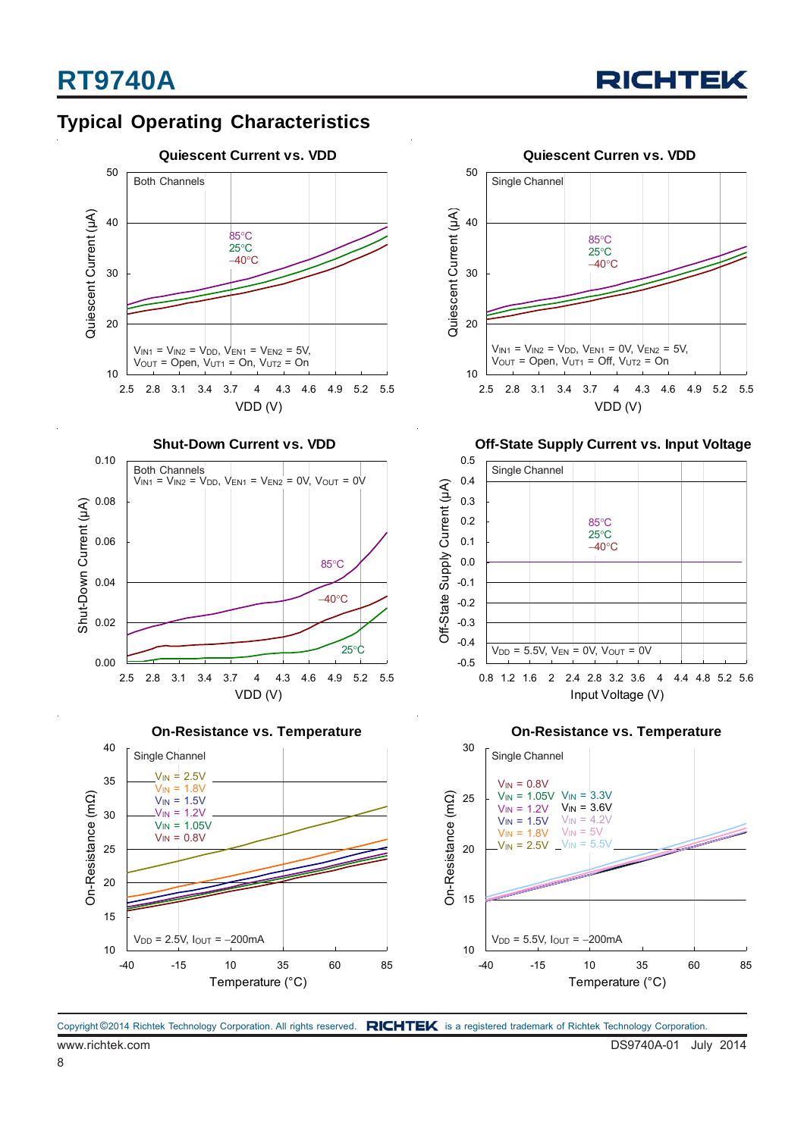### **Typical Operating Characteristics**











**Off-State Supply Current vs. Input Voltage**



**On-Resistance vs. Temperature**

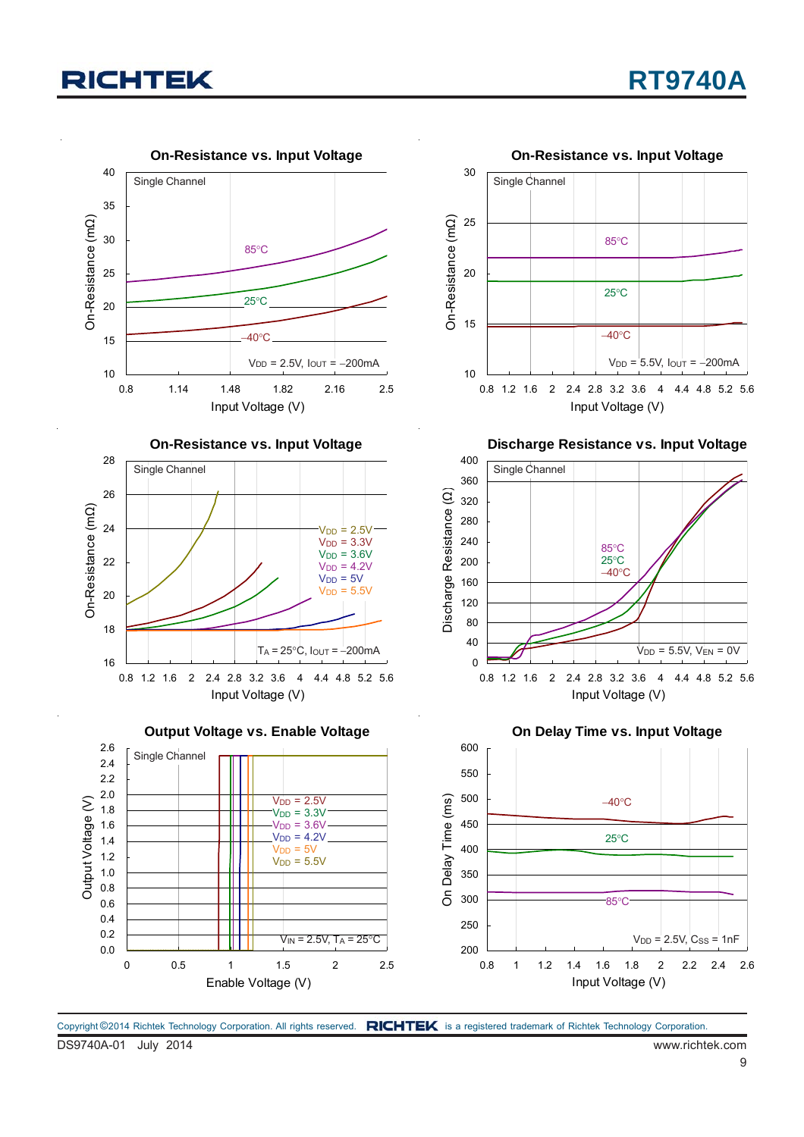

Copyright ©2014 Richtek Technology Corporation. All rights reserved. RICHTEK is a registered trademark of Richtek Technology Corporation.

DS9740A-01 July 2014 www.richtek.com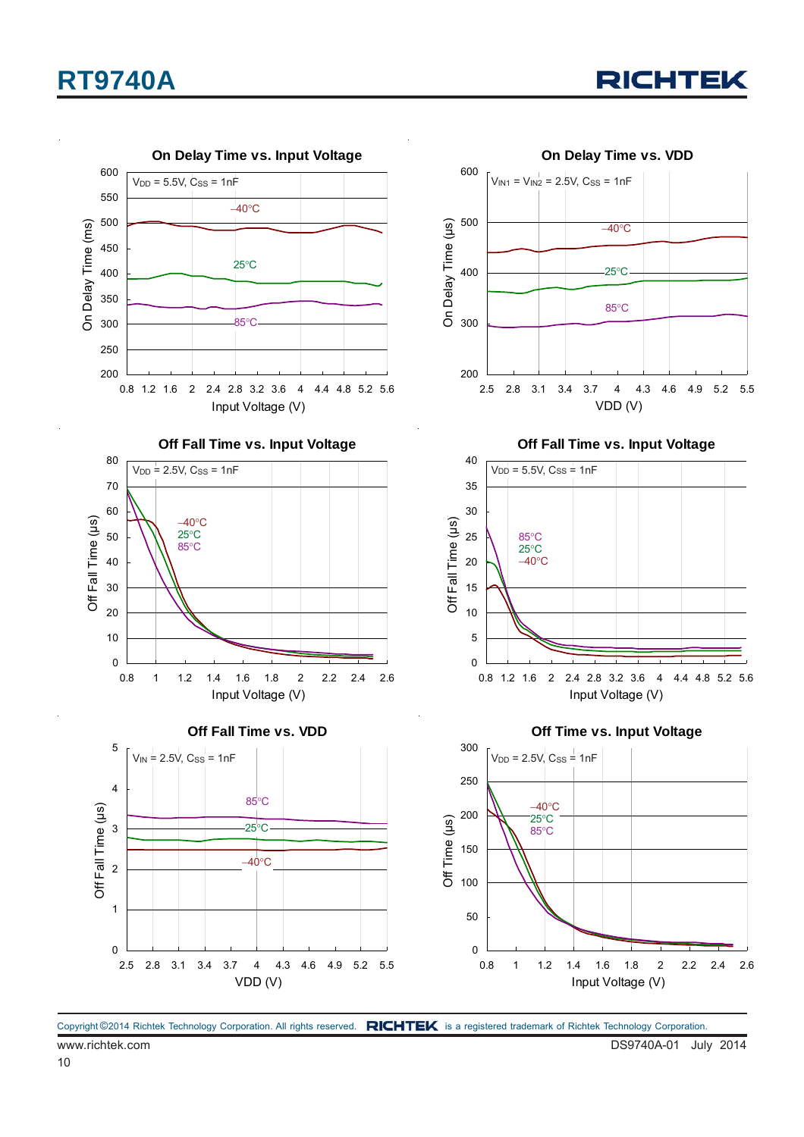



Copyright ©2014 Richtek Technology Corporation. All rights reserved. RICHTEK is a registered trademark of Richtek Technology Corporation.

10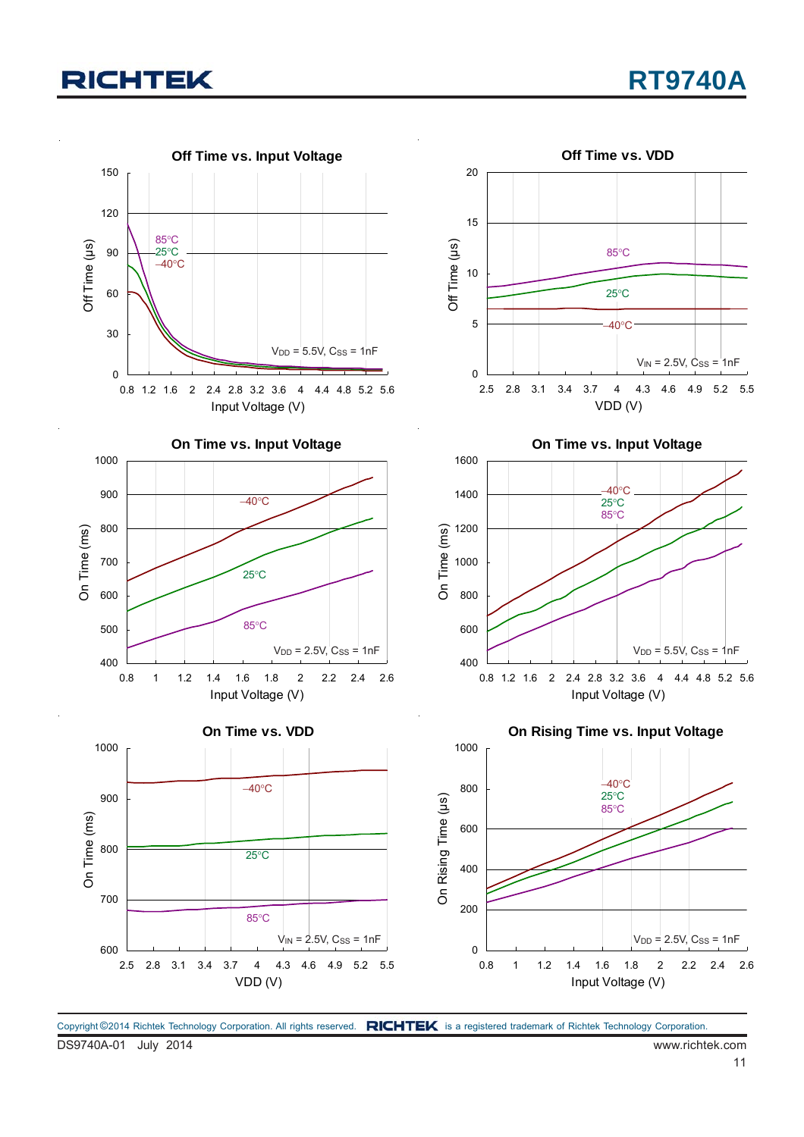

Copyright ©2014 Richtek Technology Corporation. All rights reserved. RICHTEK is a registered trademark of Richtek Technology Corporation.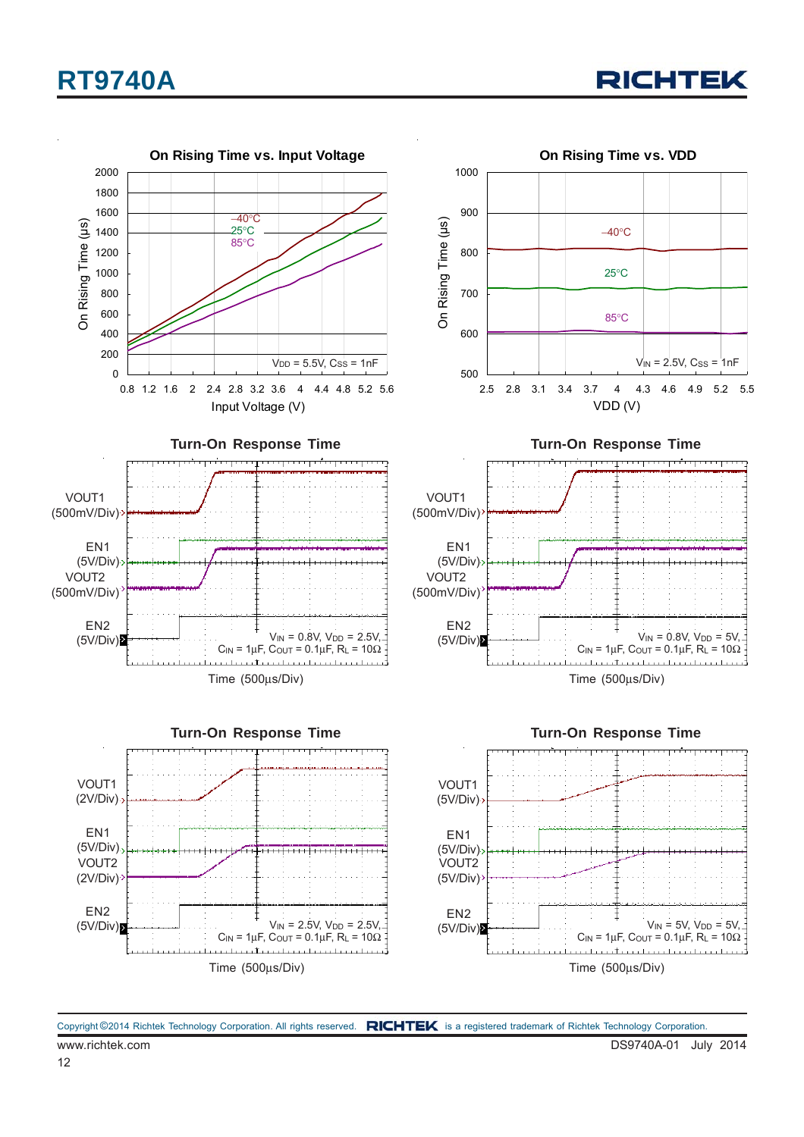

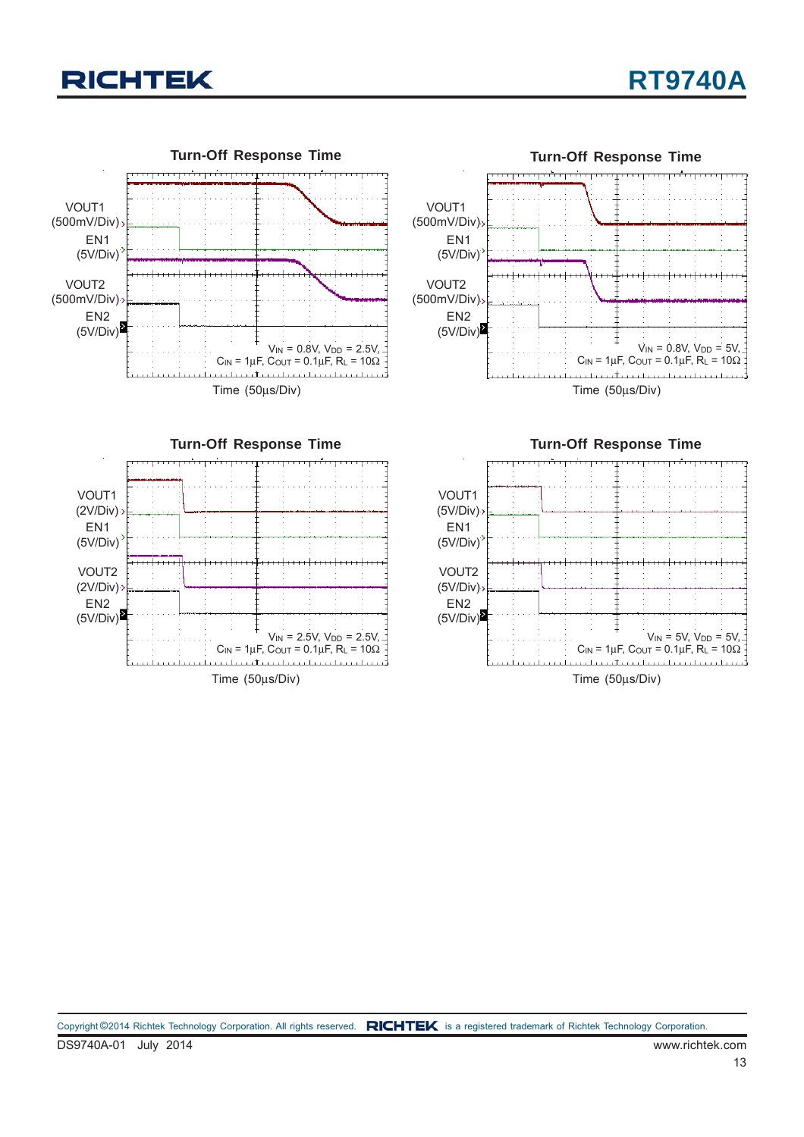







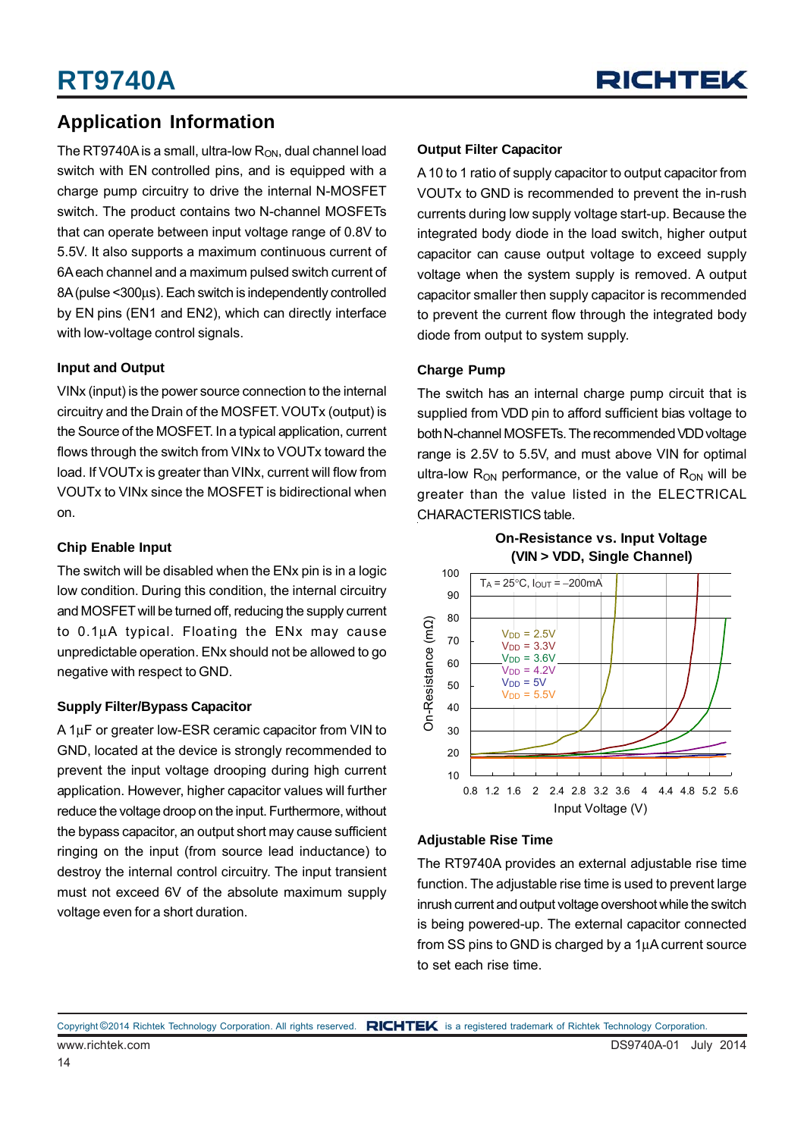### **Application Information**

The RT9740A is a small, ultra-low  $R_{ON}$ , dual channel load switch with EN controlled pins, and is equipped with a charge pump circuitry to drive the internal N-MOSFET switch. The product contains two N-channel MOSFETs that can operate between input voltage range of 0.8V to 5.5V. It also supports a maximum continuous current of 6A each channel and a maximum pulsed switch current of 8A (pulse <300μs). Each switch is independently controlled by EN pins (EN1 and EN2), which can directly interface with low-voltage control signals.

#### **Input and Output**

VINx (input) is the power source connection to the internal circuitry and the Drain of the MOSFET. VOUTx (output) is the Source of the MOSFET. In a typical application, current flows through the switch from VINx to VOUTx toward the load. If VOUTx is greater than VINx, current will flow from VOUTx to VINx since the MOSFET is bidirectional when on.

#### **Chip Enable Input**

The switch will be disabled when the EN<sub>x</sub> pin is in a logic low condition. During this condition, the internal circuitry and MOSFET will be turned off, reducing the supply current to 0.1μA typical. Floating the ENx may cause unpredictable operation. ENx should not be allowed to go negative with respect to GND.

#### **Supply Filter/Bypass Capacitor**

A 1μF or greater low-ESR ceramic capacitor from VIN to GND, located at the device is strongly recommended to prevent the input voltage drooping during high current application. However, higher capacitor values will further reduce the voltage droop on the input. Furthermore, without the bypass capacitor, an output short may cause sufficient ringing on the input (from source lead inductance) to destroy the internal control circuitry. The input transient must not exceed 6V of the absolute maximum supply voltage even for a short duration.

#### **Output Filter Capacitor**

A 10 to 1 ratio of supply capacitor to output capacitor from VOUTx to GND is recommended to prevent the in-rush currents during low supply voltage start-up. Because the integrated body diode in the load switch, higher output capacitor can cause output voltage to exceed supply voltage when the system supply is removed. A output capacitor smaller then supply capacitor is recommended to prevent the current flow through the integrated body diode from output to system supply.

#### **Charge Pump**

The switch has an internal charge pump circuit that is supplied from VDD pin to afford sufficient bias voltage to both N-channel MOSFETs. The recommended VDD voltage range is 2.5V to 5.5V, and must above VIN for optimal ultra-low  $R_{ON}$  performance, or the value of  $R_{ON}$  will be greater than the value listed in the ELECTRICAL CHARACTERISTICS table.



#### **Adjustable Rise Time**

The RT9740A provides an external adjustable rise time function. The adjustable rise time is used to prevent large inrush current and output voltage overshoot while the switch is being powered-up. The external capacitor connected from SS pins to GND is charged by a 1μA current source to set each rise time.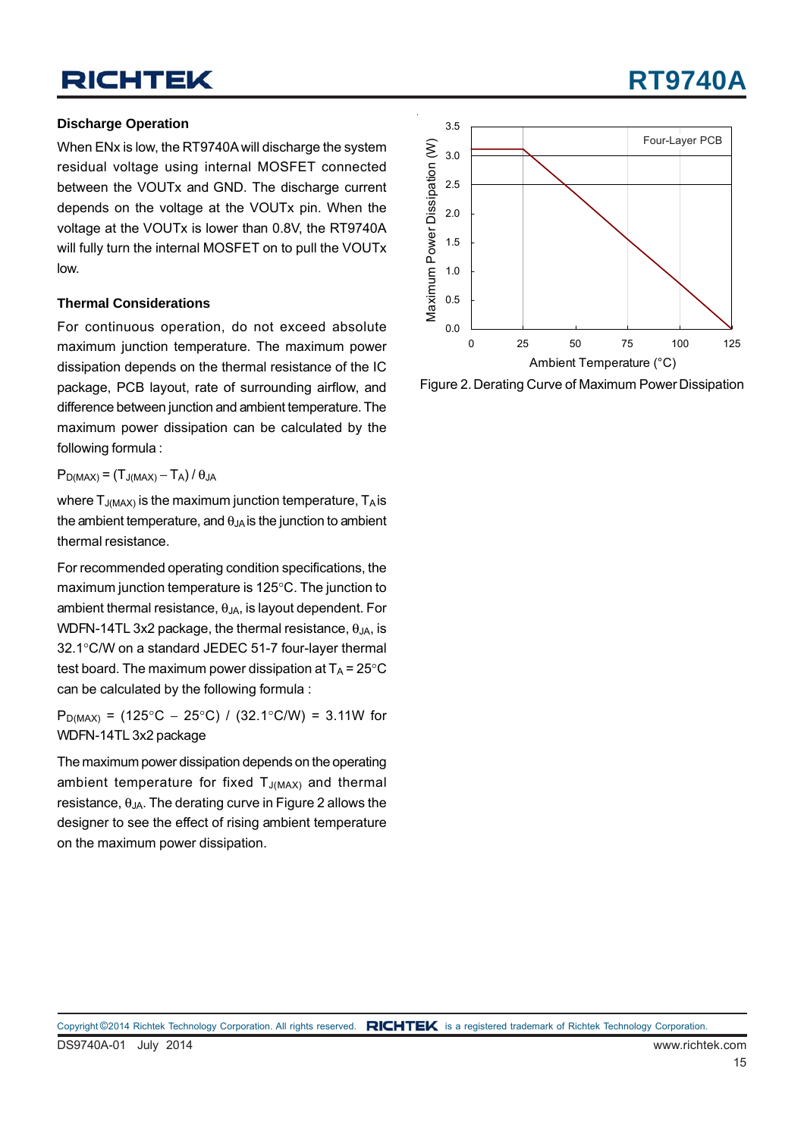#### **Discharge Operation**

When ENx is low, the RT9740A will discharge the system residual voltage using internal MOSFET connected between the VOUTx and GND. The discharge current depends on the voltage at the VOUTx pin. When the voltage at the VOUTx is lower than 0.8V, the RT9740A will fully turn the internal MOSFET on to pull the VOUTx low.

#### **Thermal Considerations**

For continuous operation, do not exceed absolute maximum junction temperature. The maximum power dissipation depends on the thermal resistance of the IC package, PCB layout, rate of surrounding airflow, and difference between junction and ambient temperature. The maximum power dissipation can be calculated by the following formula :

#### $P_{D(MAX)} = (T_{J(MAX)} - T_A)/\theta_{JA}$

where  $T_{J(MAX)}$  is the maximum junction temperature,  $T_A$  is the ambient temperature, and  $\theta_{JA}$  is the junction to ambient thermal resistance.

For recommended operating condition specifications, the maximum junction temperature is 125°C. The junction to ambient thermal resistance,  $\theta_{JA}$ , is layout dependent. For WDFN-14TL 3x2 package, the thermal resistance,  $\theta_{JA}$ , is 32.1°C/W on a standard JEDEC 51-7 four-layer thermal test board. The maximum power dissipation at  $T_A = 25^{\circ}C$ can be calculated by the following formula :

P<sub>D(MAX)</sub> = (125°C – 25°C) / (32.1°C/W) = 3.11W for WDFN-14TL 3x2 package

The maximum power dissipation depends on the operating ambient temperature for fixed  $T_{J(MAX)}$  and thermal resistance,  $θ_{JA}$ . The derating curve in Figure 2 allows the designer to see the effect of rising ambient temperature on the maximum power dissipation.



Figure 2. Derating Curve of Maximum Power Dissipation

# **RT9740A**